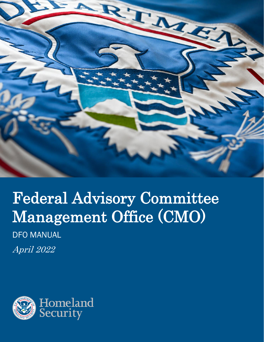

# Federal Advisory Committee Management Office (CMO) DFO MANUAL

April 2022

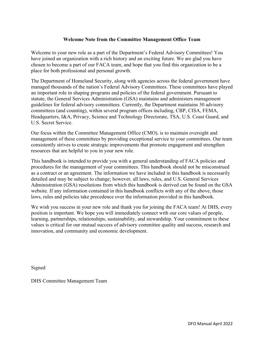#### **Welcome Note from the Committee Management Office Team**

Welcome to your new role as a part of the Department's Federal Advisory Committees! You have joined an organization with a rich history and an exciting future. We are glad you have chosen to become a part of our FACA team, and hope that you find this organization to be a place for both professional and personal growth.

The Department of Homeland Security, along with agencies across the federal government have managed thousands of the nation's Federal Advisory Committees. These committees have played an important role in shaping programs and policies of the federal government. Pursuant to statute, the General Services Administration (GSA) maintains and administers management guidelines for federal advisory committees. Currently, the Department maintains 30 advisory committees (and counting), within several program offices including, CBP, CISA, FEMA, Headquarters, I&A, Privacy, Science and Technology Directorate, TSA, U.S. Coast Guard, and U.S. Secret Service.

Our focus within the Committee Management Office (CMO), is to maintain oversight and management of these committees by providing exceptional service to your committees. Our team consistently strives to create strategic improvements that promote engagement and strengthen resources that are helpful to you in your new role.

This handbook is intended to provide you with a general understanding of FACA policies and procedures for the management of your committees. This handbook should not be misconstrued as a contract or an agreement. The information we have included in this handbook is necessarily detailed and may be subject to change; however, all laws, rules, and U.S. General Services Administration (GSA) resolutions from which this handbook is derived can be found on the GSA website. If any information contained in this handbook conflicts with any of the above, those laws, rules and policies take precedence over the information provided in this handbook.

We wish you success in your new role and thank you for joining the FACA team! At DHS, every position is important. We hope you will immediately connect with our core values of people, learning, partnerships, relationships, sustainability, and stewardship. Your commitment to these values is critical for our mutual success of advisory committee quality and success, research and innovation, and community and economic development.

Signed

DHS Committee Management Team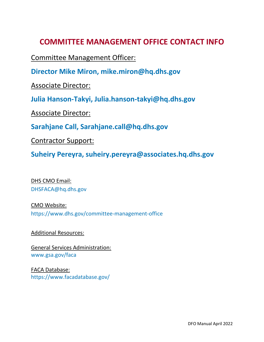# **COMMITTEE MANAGEMENT OFFICE CONTACT INFO**

Committee Management Officer:

**Director Mike Miron, mike.miron@hq.dhs.gov** 

Associate Director:

**Julia Hanson-Takyi, Julia.hanson-takyi@hq.dhs.gov** 

Associate Director:

**Sarahjane Call, Sarahjane.call@hq.dhs.gov** 

Contractor Support:

**Suheiry Pereyra, suheiry.pereyra@associates.hq.dhs.gov**

DHS CMO Email: [DHSFACA@hq.dhs.gov](mailto:DHSFACA@hq.dhs.gov)

CMO Website: <https://www.dhs.gov/committee-management-office>

Additional Resources:

General Services Administration: [www.gsa.gov/faca](http://www.gsa.gov/faca)

FACA Database: <https://www.facadatabase.gov/>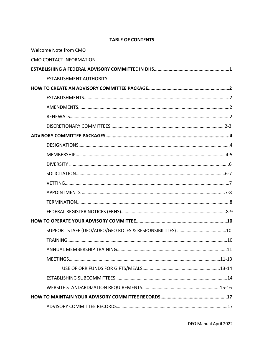#### **TABLE OF CONTENTS**

| Welcome Note from CMO          |  |
|--------------------------------|--|
| <b>CMO CONTACT INFORMATION</b> |  |
|                                |  |
| <b>ESTABLISHMENT AUTHORITY</b> |  |
|                                |  |
|                                |  |
|                                |  |
|                                |  |
|                                |  |
|                                |  |
|                                |  |
|                                |  |
|                                |  |
|                                |  |
|                                |  |
|                                |  |
|                                |  |
|                                |  |
|                                |  |
|                                |  |
|                                |  |
|                                |  |
|                                |  |
|                                |  |
|                                |  |
|                                |  |
|                                |  |
|                                |  |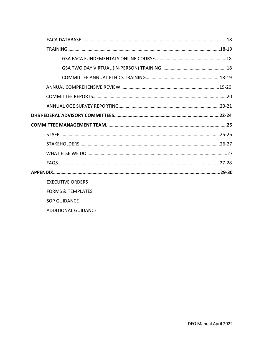| <b>EXECUTIVE ORDERS</b>      |
|------------------------------|
| <b>FORMS &amp; TEMPLATES</b> |
| <b>SOP GUIDANCE</b>          |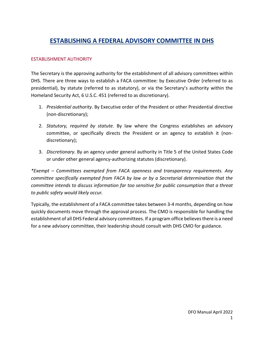# **ESTABLISHING A FEDERAL ADVISORY COMMITTEE IN DHS**

#### ESTABLISHMENT AUTHORITY

The Secretary is the approving authority for the establishment of all advisory committees within DHS. There are three ways to establish a FACA committee: by Executive Order (referred to as presidential), by statute (referred to as statutory), or via the Secretary's authority within the Homeland Security Act, 6 U.S.C. 451 (referred to as discretionary).

- 1. *Presidential authority*. By Executive order of the President or other Presidential directive (non-discretionary);
- 2. *Statutory, required by statute*. By law where the Congress establishes an advisory committee, or specifically directs the President or an agency to establish it (nondiscretionary);
- 3. *Discretionary*. By an agency under general authority in Title 5 of the United States Code or under other general agency-authorizing statutes (discretionary).

*\*Exempt – Committees exempted from FACA openness and transparency requirements. Any committee specifically exempted from FACA by law or by a Secretarial determination that the committee intends to discuss information far too sensitive for public consumption that a threat to public safety would likely occur.*

Typically, the establishment of a FACA committee takes between 3-4 months, depending on how quickly documents move through the approval process. The CMO is responsible for handling the establishment of all DHS Federal advisory committees. If a program office believes there is a need for a new advisory committee, their leadership should consult with DHS CMO for guidance.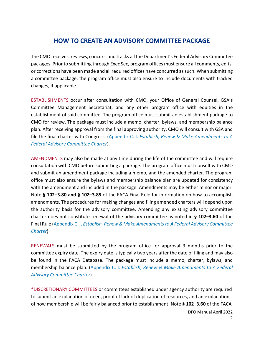# **HOW TO CREATE AN ADVISORY COMMITTEE PACKAGE**

The CMO receives, reviews, concurs, and tracks all the Department's Federal Advisory Committee packages. Prior to submitting through Exec Sec, program offices must ensure all comments, edits, or corrections have been made and all required offices have concurred as such. When submitting a committee package, the program office must also ensure to include documents with tracked changes, if applicable.

ESTABLISHMENTS occur after consultation with CMO, your Office of General Counsel, GSA's Committee Management Secretariat, and any other program office with equities in the establishment of said committee. The program office must submit an establishment package to CMO for review. The package must include a memo, charter, bylaws, and membership balance plan. After receiving approval from the final approving authority, CMO will consult with GSA and file the final charter with Congress. (Appendix C. I. *Establish, Renew & Make Amendments to A Federal Advisory Committee Charter*).

AMENDMENTS may also be made at any time during the life of the committee and will require consultation with CMO before submitting a package. The program office must consult with CMO and submit an amendment package including a memo, and the amended charter. The program office must also ensure the bylaws and membership balance plan are updated for consistency with the amendment and included in the package. Amendments may be either minor or major. Note **§ 102–3.80 and § 102–3.85** of the FACA Final Rule for information on how to accomplish amendments. The procedures for making changes and filing amended charters will depend upon the authority basis for the advisory committee. Amending any existing advisory committee charter does not constitute renewal of the advisory committee as noted in **§ 102–3.60** of the Final Rule (Appendix C. I. *Establish, Renew & Make Amendments to A Federal Advisory Committee Charter*).

RENEWALS must be submitted by the program office for approval 3 months prior to the committee expiry date. The expiry date is typically two years after the date of filing and may also be found in the FACA Database. The package must include a memo, charter, bylaws, and membership balance plan. (Appendix C. I. *Establish, Renew & Make Amendments to A Federal Advisory Committee Charter*).

\*DISCRETIONARY COMMITTEES or committees established under agency authority are required to submit an explanation of need, proof of lack of duplication of resources, and an explanation of how membership will be fairly balanced prior to establishment. Note **§ 102–3.60** of the FACA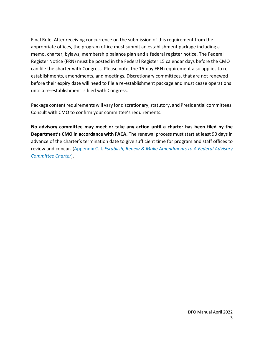Final Rule. After receiving concurrence on the submission of this requirement from the appropriate offices, the program office must submit an establishment package including a memo, charter, bylaws, membership balance plan and a federal register notice. The Federal Register Notice (FRN) must be posted in the Federal Register 15 calendar days before the CMO can file the charter with Congress. Please note, the 15-day FRN requirement also applies to reestablishments, amendments, and meetings. Discretionary committees, that are not renewed before their expiry date will need to file a re-establishment package and must cease operations until a re-establishment is filed with Congress.

Package content requirements will vary for discretionary, statutory, and Presidential committees. Consult with CMO to confirm your committee's requirements.

**No advisory committee may meet or take any action until a charter has been filed by the Department's CMO in accordance with FACA.** The renewal process must start at least 90 days in advance of the charter's termination date to give sufficient time for program and staff offices to review and concur. (Appendix C. I. *Establish, Renew & Make Amendments to A Federal Advisory Committee Charter*).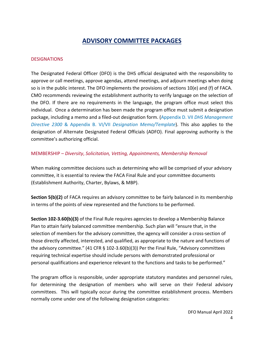# **ADVISORY COMMITTEE PACKAGES**

#### **DESIGNATIONS**

The Designated Federal Officer (DFO) is the DHS official designated with the responsibility to approve or call meetings, approve agendas, attend meetings, and adjourn meetings when doing so is in the public interest. The DFO implements the provisions of sections 10(e) and (f) of FACA. CMO recommends reviewing the establishment authority to verify language on the selection of the DFO. If there are no requirements in the language, the program office must select this individual. Once a determination has been made the program office must submit a designation package, including a memo and a filed-out designation form. (Appendix D. VII *DHS Management Directive 2300* & Appendix B. VI/VII *Designation Memo/Template*). This also applies to the designation of Alternate Designated Federal Officials (ADFO). Final approving authority is the committee's authorizing official.

#### MEMBERSHIP – *Diversity*, *Solicitation, Vetting, Appointments, Membership Removal*

When making committee decisions such as determining who will be comprised of your advisory committee, it is essential to review the FACA Final Rule and your committee documents (Establishment Authority, Charter, Bylaws, & MBP).

**Section 5(b)(2)** of FACA requires an advisory committee to be fairly balanced in its membership in terms of the points of view represented and the functions to be performed.

**Section 102-3.60(b)(3)** of the Final Rule requires agencies to develop a Membership Balance Plan to attain fairly balanced committee membership. Such plan will "ensure that, in the selection of members for the advisory committee, the agency will consider a cross-section of those directly affected, interested, and qualified, as appropriate to the nature and functions of the advisory committee." (41 CFR § 102-3.60(b)(3)) Per the Final Rule, "Advisory committees requiring technical expertise should include persons with demonstrated professional or personal qualifications and experience relevant to the functions and tasks to be performed."

The program office is responsible, under appropriate statutory mandates and personnel rules, for determining the designation of members who will serve on their Federal advisory committees. This will typically occur during the committee establishment process. Members normally come under one of the following designation categories: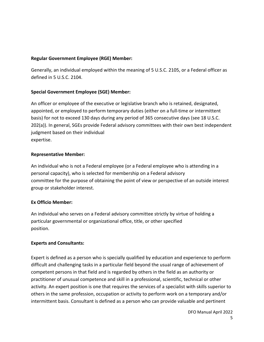#### **Regular Government Employee (RGE) Member:**

Generally, an individual employed within the meaning of 5 U.S.C. 2105, or a Federal officer as defined in 5 U.S.C. 2104.

### **Special Government Employee (SGE) Member:**

An officer or employee of the executive or legislative branch who is retained, designated, appointed, or employed to perform temporary duties (either on a full-time or intermittent basis) for not to exceed 130 days during any period of 365 consecutive days (see 18 U.S.C. 202(a)). In general, SGEs provide Federal advisory committees with their own best independent judgment based on their individual expertise.

### **Representative Member:**

An individual who is not a Federal employee (or a Federal employee who is attending in a personal capacity), who is selected for membership on a Federal advisory committee for the purpose of obtaining the point of view or perspective of an outside interest group or stakeholder interest.

#### **Ex Officio Member:**

An individual who serves on a Federal advisory committee strictly by virtue of holding a particular governmental or organizational office, title, or other specified position.

#### **Experts and Consultants:**

Expert is defined as a person who is specially qualified by education and experience to perform difficult and challenging tasks in a particular field beyond the usual range of achievement of competent persons in that field and is regarded by others in the field as an authority or practitioner of unusual competence and skill in a professional, scientific, technical or other activity. An expert position is one that requires the services of a specialist with skills superior to others in the same profession, occupation or activity to perform work on a temporary and/or intermittent basis. Consultant is defined as a person who can provide valuable and pertinent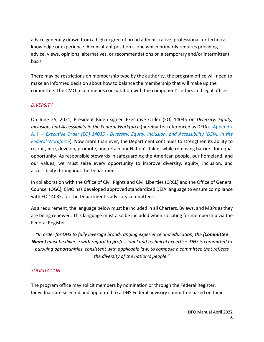advice generally drawn from a high degree of broad administrative, professional, or technical knowledge or experience. A consultant position is one which primarily requires providing advice, views, opinions, alternatives, or recommendations on a temporary and/or intermittent basis.

There may be restrictions on membership type by the authority, the program office will need to make an informed decision about how to balance the membership that will make up the committee. The CMO recommends consultation with the component's ethics and legal offices.

#### *DIVERSITY*

On June 25, 2021, President Biden signed Executive Order (EO) 14035 on *Diversity, Equity, Inclusion, and Accessibility in the Federal Workforce* (hereinafter referenced as DEIA). (Appendix A. I. – *Executive Order (EO) 14035 - Diversity, Equity, Inclusion, and Accessibility (DEIA) in the Federal Workforce*). Now more than ever, the Department continues to strengthen its ability to recruit, hire, develop, promote, and retain our Nation's talent while removing barriers for equal opportunity. As responsible stewards in safeguarding the American people, our homeland, and our values, we must seize every opportunity to improve diversity, equity, inclusion, and accessibility throughout the Department.

In collaboration with the Office of Civil Rights and Civil Liberties (CRCL) and the Office of General Counsel (OGC), CMO has developed approved standardized DEIA language to ensure compliance with EO 14035, for the Department's advisory committees.

As a requirement, the language below must be included in all Charters, Bylaws, and MBPs as they are being renewed. This language must also be included when soliciting for membership via the Federal Register.

*"In order for DHS to fully leverage broad-ranging experience and education, the (Committee Name) must be diverse with regard to professional and technical expertise. DHS is committed to pursuing opportunities, consistent with applicable law, to compose a committee that reflects the diversity of the nation's people."*

#### *SOLICITATION*

The program office may solicit members by nomination or through the Federal Register. Individuals are selected and appointed to a DHS Federal advisory committee based on their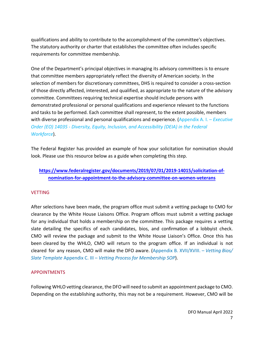qualifications and ability to contribute to the accomplishment of the committee's objectives. The statutory authority or charter that establishes the committee often includes specific requirements for committee membership.

One of the Department's principal objectives in managing its advisory committees is to ensure that committee members appropriately reflect the diversity of American society. In the selection of members for discretionary committees, DHS is required to consider a cross-section of those directly affected, interested, and qualified, as appropriate to the nature of the advisory committee. Committees requiring technical expertise should include persons with demonstrated professional or personal qualifications and experience relevant to the functions and tasks to be performed. Each committee shall represent, to the extent possible, members with diverse professional and personal qualifications and experience. (Appendix A. I. – *Executive Order (EO) 14035 - Diversity, Equity, Inclusion, and Accessibility (DEIA) in the Federal Workforce*).

The Federal Register has provided an example of how your solicitation for nomination should look. Please use this resource below as a guide when completing this step.

# **[https://www.federalregister.gov/documents/2019/07/01/2019-14015/solicitation-of](https://www.federalregister.gov/documents/2019/07/01/2019-14015/solicitation-of-nomination-for-appointment-to-the-advisory-committee-on-women-veterans)[nomination-for-appointment-to-the-advisory-committee-on-women-veterans](https://www.federalregister.gov/documents/2019/07/01/2019-14015/solicitation-of-nomination-for-appointment-to-the-advisory-committee-on-women-veterans)**

#### **VETTING**

After selections have been made, the program office must submit a vetting package to CMO for clearance by the White House Liaisons Office. Program offices must submit a vetting package for any individual that holds a membership on the committee. This package requires a vetting slate detailing the specifics of each candidates, bios, and confirmation of a lobbyist check. CMO will review the package and submit to the White House Liaison's Office. Once this has been cleared by the WHLO, CMO will return to the program office. If an individual is not cleared for any reason, CMO will make the DFO aware. (Appendix B. XVII/XVIII. – *Vetting Bios/ Slate Template* Appendix C. III – *Vetting Process for Membership SOP*).

#### APPOINTMENTS

Following WHLO vetting clearance, the DFO will need to submit an appointment package to CMO. Depending on the establishing authority, this may not be a requirement. However, CMO will be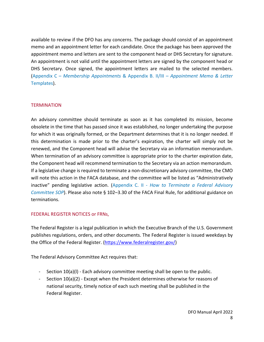available to review if the DFO has any concerns. The package should consist of an appointment memo and an appointment letter for each candidate. Once the package has been approved the appointment memo and letters are sent to the component head or DHS Secretary for signature. An appointment is not valid until the appointment letters are signed by the component head or DHS Secretary. Once signed, the appointment letters are mailed to the selected members. (Appendix C – *Membership Appointments* & Appendix B. II/III – *Appointment Memo & Letter* Templates).

#### **TERMINATION**

An advisory committee should terminate as soon as it has completed its mission, become obsolete in the time that has passed since it was established, no longer undertaking the purpose for which it was originally formed, or the Department determines that it is no longer needed. If this determination is made prior to the charter's expiration, the charter will simply not be renewed, and the Component head will advise the Secretary via an information memorandum. When termination of an advisory committee is appropriate prior to the charter expiration date, the Component head will recommend termination to the Secretary via an action memorandum. If a legislative change is required to terminate a non-discretionary advisory committee, the CMO will note this action in the FACA database, and the committee will be listed as "Administratively inactive" pending legislative action. (Appendix C. II - *How to Terminate a Federal Advisory Committee SOP*). Please also note § 102–3.30 of the FACA Final Rule, for additional guidance on terminations.

#### FEDERAL REGISTER NOTICES or FRNs,

The Federal Register is a legal publication in which the Executive Branch of the U.S. Government publishes regulations, orders, and other documents. The Federal Register is issued weekdays by the Office of the Federal Register. [\(https://www.federalregister.gov/\)](https://www.federalregister.gov/)

The Federal Advisory Committee Act requires that:

- Section 10(a)(l) Each advisory committee meeting shall be open to the public.
- Section  $10(a)(2)$  Except when the President determines otherwise for reasons of national security, timely notice of each such meeting shall be published in the Federal Register.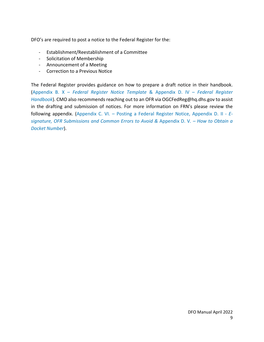DFO's are required to post a notice to the Federal Register for the:

- Establishment/Reestablishment of a Committee
- Solicitation of Membership
- Announcement of a Meeting
- Correction to a Previous Notice

The Federal Register provides guidance on how to prepare a draft notice in their handbook. (Appendix B. X – *Federal Register Notice Template* & Appendix D. IV – *Federal Register Handbook*). CMO also recommends reaching out to an OFR via OGCFedReg@hq.dhs.gov to assist in the drafting and submission of notices. For more information on FRN's please review the following appendix. (Appendix C. VI. – Posting a Federal Register Notice, Appendix D. II - *Esignature, OFR Submissions and Common Errors to Avoid &* Appendix D. V*. – How to Obtain a Docket Number*).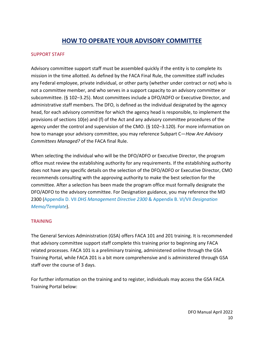# **HOW TO OPERATE YOUR ADVISORY COMMITTEE**

#### SUPPORT STAFF

Advisory committee support staff must be assembled quickly if the entity is to complete its mission in the time allotted. As defined by the FACA Final Rule, the committee staff includes any Federal employee, private individual, or other party (whether under contract or not) who is not a committee member, and who serves in a support capacity to an advisory committee or subcommittee. (§ 102–3.25). Most committees include a DFO/ADFO or Executive Director, and administrative staff members. The DFO, is defined as the individual designated by the agency head, for each advisory committee for which the agency head is responsible, to implement the provisions of sections 10(e) and (f) of the Act and any advisory committee procedures of the agency under the control and supervision of the CMO. (§ 102–3.120). For more information on how to manage your advisory committee, you may reference Subpart C—*How Are Advisory Committees Managed?* of the FACA final Rule.

When selecting the individual who will be the DFO/ADFO or Executive Director, the program office must review the establishing authority for any requirements. If the establishing authority does not have any specific details on the selection of the DFO/ADFO or Executive Director, CMO recommends consulting with the approving authority to make the best selection for the committee. After a selection has been made the program office must formally designate the DFO/ADFO to the advisory committee. For Designation guidance, you may reference the MD 2300 (Appendix D. VII *DHS Management Directive 2300* & Appendix B. VI/VII *Designation Memo/Template*).

#### **TRAINING**

The General Services Administration (GSA) offers FACA 101 and 201 training. It is recommended that advisory committee support staff complete this training prior to beginning any FACA related processes. FACA 101 is a preliminary training, administered online through the GSA Training Portal, while FACA 201 is a bit more comprehensive and is administered through GSA staff over the course of 3 days.

For further information on the training and to register, individuals may access the GSA FACA Training Portal below: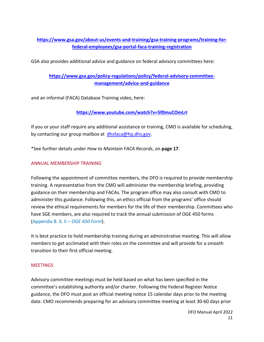# **[https://www.gsa.gov/about-us/events-and-training/gsa-training-programs/training-for](https://www.gsa.gov/about-us/events-and-training/gsa-training-programs/training-for-federal-employees/gsa-portal-faca-training-registration)[federal-employees/gsa-portal-faca-training-registration](https://www.gsa.gov/about-us/events-and-training/gsa-training-programs/training-for-federal-employees/gsa-portal-faca-training-registration)**

GSA also provides additional advice and guidance on federal advisory committees here:

# **[https://www.gsa.gov/policy-regulations/policy/federal-advisory-committee](https://www.gsa.gov/policy-regulations/policy/federal-advisory-committee-management/advice-and-guidance)[management/advice-and-guidance](https://www.gsa.gov/policy-regulations/policy/federal-advisory-committee-management/advice-and-guidance)**

and an informal (FACA) Database Training video, here:

### **<https://www.youtube.com/watch?v=5f0muCOmLrI>**

If you or your staff require any additional assistance or training, CMO is available for scheduling, by contacting our group mailbox at [dhsfaca@hq.dhs.gov.](mailto:dhsfaca@hq.dhs.gov)

\*See further details under *How to Maintain FACA Records*, on **page 17**.

#### ANNUAL MEMBERSHIP TRAINING

Following the appointment of committee members, the DFO is required to provide membership training. A representative from the CMO will administer the membership briefing, providing guidance on their membership and FACAs. The program office may also consult with CMO to administer this guidance. Following this, an ethics official from the programs' office should review the ethical requirements for members for the life of their membership. Committees who have SGE members, are also required to track the annual submission of OGE 450 forms (Appendix B. X. II *– OGE 450 Form*).

It is best practice to hold membership training during an administrative meeting. This will allow members to get acclimated with their roles on the committee and will provide for a smooth transition to their first official meeting.

#### **MEETINGS**

Advisory committee meetings must be held based on what has been specified in the committee's establishing authority and/or charter. Following the Federal Register Notice guidance, the DFO must post an official meeting notice 15 calendar days prior to the meeting date. CMO recommends preparing for an advisory committee meeting at least 30-60 days prior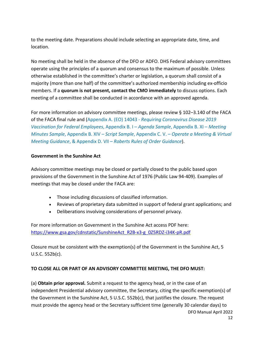to the meeting date. Preparations should include selecting an appropriate date, time, and location.

No meeting shall be held in the absence of the DFO or ADFO. DHS Federal advisory committees operate using the principles of a quorum and consensus to the maximum of possible. Unless otherwise established in the committee's charter or legislation, a quorum shall consist of a majority (more than one half) of the committee's authorized membership including ex-officio members. If a **quorum is not present, contact the CMO immediately** to discuss options. Each meeting of a committee shall be conducted in accordance with an approved agenda.

For more information on advisory committee meetings, please review § 102–3.140 of the FACA of the FACA final rule and (Appendix A. (EO) 14043 - *Requiring Coronavirus Disease 2019 Vaccination for Federal Employees*, Appendix B. I – *Agenda Sample*, Appendix B. XI – *Meeting Minutes Sample*, Appendix B. XIV – *Script Sample*, Appendix C. V. – *Operate a Meeting & Virtual Meeting Guidance*, & Appendix D. VII – *Roberts Rules of Order Guidance*).

#### **Government in the Sunshine Act**

Advisory committee meetings may be closed or partially closed to the public based upon provisions of the Government in the Sunshine Act of 1976 (Public Law 94-409). Examples of meetings that may be closed under the FACA are:

- Those including discussions of classified information.
- Reviews of proprietary data submitted in support of federal grant applications; and
- Deliberations involving considerations of personnel privacy.

For more information on Government in the Sunshine Act access PDF here: [https://www.gsa.gov/cdnstatic/SunshineAct\\_R2B-x3-g\\_0Z5RDZ-i34K-pR.pdf](https://www.gsa.gov/cdnstatic/SunshineAct_R2B-x3-g_0Z5RDZ-i34K-pR.pdf)

Closure must be consistent with the exemption(s) of the Government in the Sunshine Act, 5 U.S.C. 552b(c).

#### **TO CLOSE ALL OR PART OF AN ADVISORY COMMITTEE MEETING, THE DFO MUST:**

DFO Manual April 2022 (a) **Obtain prior approval***.* Submit a request to the agency head, or in the case of an independent Presidential advisory committee, the Secretary, citing the specific exemption(s) of the Government in the Sunshine Act, 5 U.S.C. 552b(c), that justifies the closure. The request must provide the agency head or the Secretary sufficient time (generally 30 calendar days) to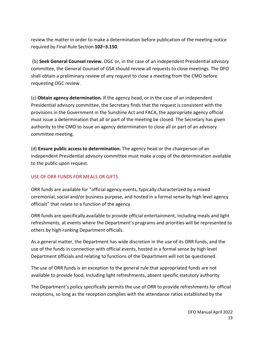review the matter in order to make a determination before publication of the meeting notice required by Final Rule Section **102–3.150**.

(b) **Seek General Counsel review.** OGC or, in the case of an independent Presidential advisory committee, the General Counsel of GSA should review all requests to close meetings. The DFO shall obtain a preliminary review of any request to close a meeting from the CMO before requesting OGC review.

(c) **Obtain agency determination***.* If the agency head, or in the case of an independent Presidential advisory committee, the Secretary finds that the request is consistent with the provisions in the Government in the Sunshine Act and FACA, the appropriate agency official must issue a determination that all or part of the meeting be closed. The Secretary has given authority to the CMO to issue an agency determination to close all or part of an advisory committee meeting.

(d) **Ensure public access to determination.** The agency head or the chairperson of an independent Presidential advisory committee must make a copy of the determination available to the public upon request.

#### USE OF ORR FUNDS FOR MEALS OR GIFTS

ORR funds are available for "official agency events, typically characterized by a mixed ceremonial, social and/or business purpose, and hosted in a formal sense by high level agency officials" that relate to a function of the agency.

ORR funds are specifically available to provide official entertainment, including meals and light refreshments, at events where the Department's programs and priorities will be represented to others by high-ranking Department officials.

As a general matter, the Department has wide discretion in the use of its ORR funds, and the use of the funds in connection with official events, hosted in a formal sense by high level Department officials and relating to functions of the Department will not be questioned.

The use of ORR funds is an exception to the general rule that appropriated funds are not available to provide food, including light refreshments, absent specific statutory authority.

The Department's policy specifically permits the use of ORR to provide refreshments for official receptions, so long as the reception complies with the attendance ratios established by the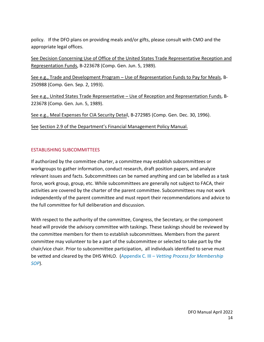policy. If the DFO plans on providing meals and/or gifts, please consult with CMO and the appropriate legal offices.

See Decision Concerning Use of Office of the United States Trade Representative Reception and Representation Funds, B-223678 (Comp. Gen. Jun. 5, 1989).

See e.g., Trade and Development Program – Use of Representation Funds to Pay for Meals, B-250988 (Comp. Gen. Sep. 2, 1993).

See e.g., United States Trade Representative – Use of Reception and Representation Funds, B-223678 (Comp. Gen. Jun. 5, 1989).

See e.g., Meal Expenses for CIA Security Detail, B-272985 (Comp. Gen. Dec. 30, 1996).

See Section 2.9 of the Department's Financial Management Policy Manual.

#### ESTABLISHING SUBCOMMITTEES

If authorized by the committee charter, a committee may establish subcommittees or workgroups to gather information, conduct research, draft position papers, and analyze relevant issues and facts. Subcommittees can be named anything and can be labelled as a task force, work group, group, etc. While subcommittees are generally not subject to FACA, their activities are covered by the charter of the parent committee. Subcommittees may not work independently of the parent committee and must report their recommendations and advice to the full committee for full deliberation and discussion.

With respect to the authority of the committee, Congress, the Secretary, or the component head will provide the advisory committee with taskings. These taskings should be reviewed by the committee members for them to establish subcommittees. Members from the parent committee may volunteer to be a part of the subcommittee or selected to take part by the chair/vice chair. Prior to subcommittee participation, all individuals identified to serve must be vetted and cleared by the DHS WHLO. (Appendix C. III – *Vetting Process for Membership SOP*).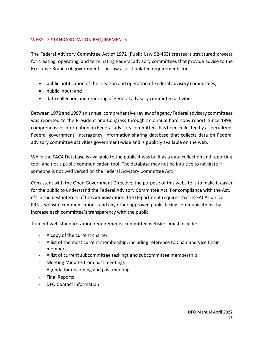## WEBSITE STANDARDIZATION REQUIREMENTS

The Federal Advisory Committee Act of 1972 (Public Law 92-463) created a structured process for creating, operating, and terminating Federal advisory committees that provide advice to the Executive Branch of government. This law also stipulated requirements for:

- public notification of the creation and operation of Federal advisory committees;
- public input; and
- data collection and reporting of Federal advisory committee activities.

Between 1972 and 1997 an annual comprehensive review of agency Federal advisory committees was reported to the President and Congress through an annual hard copy report. Since 1998, comprehensive information on Federal advisory committees has been collected by a specialized, Federal government, Interagency, information-sharing database that collects data on Federal advisory committee activities government-wide and is publicly available on the web.

While the FACA Database is available to the public it was built as a data collection and reporting tool, and not a public communication tool. The database may not be intuitive to navigate if someone is not well versed on the Federal Advisory Committee Act.

Consistent with the Open Government Directive, the purpose of this website is to make it easier for the public to understand the Federal Advisory Committee Act. For compliance with the Act, it's in the best interest of the Administration, the Department requires that its FACAs utilize FRNs, website communications, and any other approved public facing communications that increase each committee's transparency with the public.

To meet web standardization requirements, committee websites **must** include:

- A copy of the current charter
- A list of the most current membership, including reference to Chair and Vice Chair members
- A list of current subcommittee taskings and subcommittee membership
- Meeting Minutes from past meetings
- Agenda for upcoming and past meetings
- Final Reports
- DFO Contact information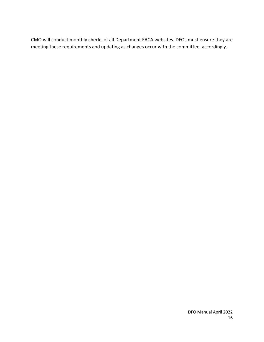CMO will conduct monthly checks of all Department FACA websites. DFOs must ensure they are meeting these requirements and updating as changes occur with the committee, accordingly.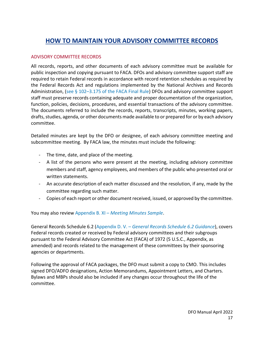# **HOW TO MAINTAIN YOUR ADVISORY COMMITTEE RECORDS**

#### ADVISORY COMMITTEE RECORDS

All records, reports, and other documents of each advisory committee must be available for public inspection and copying pursuant to FACA. DFOs and advisory committee support staff are required to retain Federal records in accordance with record retention schedules as required by the Federal Records Act and regulations implemented by the National Archives and Records Administration, (see § 102-3.175 of the FACA Final Rule) DFOs and advisory committee support staff must preserve records containing adequate and proper documentation of the organization, function, policies, decisions, procedures, and essential transactions of the advisory committee. The documents referred to include the records, reports, transcripts, minutes, working papers, drafts, studies, agenda, or other documents made available to or prepared for or by each advisory committee.

Detailed minutes are kept by the DFO or designee, of each advisory committee meeting and subcommittee meeting. By FACA law, the minutes must include the following:

- The time, date, and place of the meeting.
- A list of the persons who were present at the meeting, including advisory committee members and staff, agency employees, and members of the public who presented oral or written statements.
- An accurate description of each matter discussed and the resolution, if any, made by the committee regarding such matter.
- Copies of each report or other document received, issued, or approved by the committee.

You may also review Appendix B. XI – *Meeting Minutes Sample*.

General Records Schedule 6.2 (Appendix D. V. – *General Records Schedule 6.2 Guidance*), covers Federal records created or received by Federal advisory committees and their subgroups pursuant to the Federal Advisory Committee Act (FACA) of 1972 (5 U.S.C., Appendix, as amended) and records related to the management of these committees by their sponsoring agencies or departments.

Following the approval of FACA packages, the DFO must submit a copy to CMO. This includes signed DFO/ADFO designations, Action Memorandums, Appointment Letters, and Charters. Bylaws and MBPs should also be included if any changes occur throughout the life of the committee.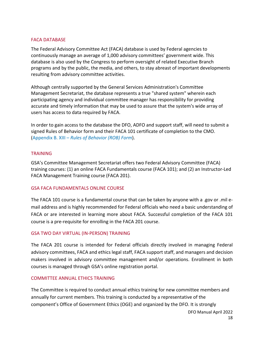#### FACA DATABASE

The Federal Advisory Committee Act (FACA) database is used by Federal agencies to continuously manage an average of 1,000 advisory committees' government wide. This database is also used by the Congress to perform oversight of related Executive Branch programs and by the public, the media, and others, to stay abreast of important developments resulting from advisory committee activities.

Although centrally supported by the General Services Administration's Committee Management Secretariat, the database represents a true "shared system" wherein each participating agency and individual committee manager has responsibility for providing accurate and timely information that may be used to assure that the system's wide array of users has access to data required by FACA.

In order to gain access to the database the DFO, ADFO and support staff, will need to submit a signed Rules of Behavior form and their FACA 101 certificate of completion to the CMO. (Appendix B. XIII – *Rules of Behavior (ROB) Form*).

#### **TRAINING**

GSA's Committee Management Secretariat offers two Federal Advisory Committee (FACA) training courses: (1) an online FACA Fundamentals course (FACA 101); and (2) an Instructor-Led FACA Management Training course (FACA 201).

#### GSA FACA FUNDAMENTALS ONLINE COURSE

The FACA 101 course is a fundamental course that can be taken by anyone with a .gov or .mil email address and is highly recommended for Federal officials who need a basic understanding of FACA or are interested in learning more about FACA. Successful completion of the FACA 101 course is a pre-requisite for enrolling in the FACA 201 course.

#### GSA TWO DAY VIRTUAL (IN-PERSON) TRAINING

The FACA 201 course is intended for Federal officials directly involved in managing Federal advisory committees, FACA and ethics legal staff, FACA support staff, and managers and decision makers involved in advisory committee management and/or operations. Enrollment in both courses is managed through GSA's online registration portal.

#### COMMITTEE ANNUAL ETHICS TRAINING

The Committee is required to conduct annual ethics training for new committee members and annually for current members. This training is conducted by a representative of the component's Office of Government Ethics (OGE) and organized by the DFO. It is strongly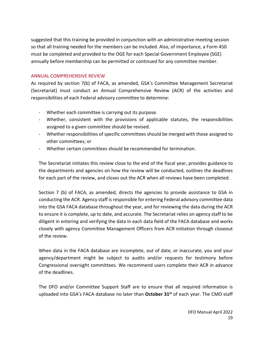suggested that this training be provided in conjunction with an administrative meeting session so that all training needed for the members can be included. Also, of importance, a Form 450 must be completed and provided to the OGE for each Special Government Employee (SGE) annually before membership can be permitted or continued for any committee member.

#### ANNUAL COMPREHENSIVE REVIEW

As required by section 7(b) of FACA, as amended, GSA's Committee Management Secretariat (Secretariat) must conduct an Annual Comprehensive Review (ACR) of the activities and responsibilities of each Federal advisory committee to determine:

- Whether each committee is carrying out its purpose.
- Whether, consistent with the provisions of applicable statutes, the responsibilities assigned to a given committee should be revised.
- Whether responsibilities of specific committees should be merged with those assigned to other committees; or
- Whether certain committees should be recommended for termination.

The Secretariat initiates this review close to the end of the fiscal year, provides guidance to the departments and agencies on how the review will be conducted, outlines the deadlines for each part of the review, and closes out the ACR when all reviews have been completed.

Section 7 (b) of FACA, as amended, directs the agencies to provide assistance to GSA in conducting the ACR. Agency staff is responsible for entering Federal advisory committee data into the GSA FACA database throughout the year, and for reviewing the data during the ACR to ensure it is complete, up to date, and accurate. The Secretariat relies on agency staff to be diligent in entering and verifying the data in each data field of the FACA database and works closely with agency Committee Management Officers from ACR initiation through closeout of the review.

When data in the FACA database are incomplete, out of date, or inaccurate, you and your agency/department might be subject to audits and/or requests for testimony before Congressional oversight committees. We recommend users complete their ACR in advance of the deadlines.

The DFO and/or Committee Support Staff are to ensure that all required information is uploaded into GSA's FACA database no later than **October 31st** of each year. The CMO staff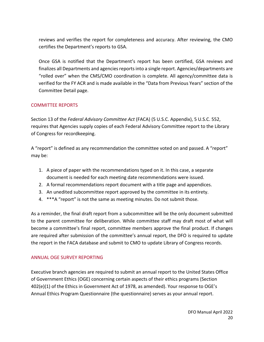reviews and verifies the report for completeness and accuracy. After reviewing, the CMO certifies the Department's reports to GSA.

Once GSA is notified that the Department's report has been certified, GSA reviews and finalizes all Departments and agencies reports into a single report. Agencies/departments are "rolled over" when the CMS/CMO coordination is complete. All agency/committee data is verified for the FY ACR and is made available in the "Data from Previous Years" section of the Committee Detail page.

### COMMITTEE REPORTS

Section 13 of the *Federal Advisory Committee Act* (FACA) (5 U.S.C. Appendix), 5 U.S.C. 552, requires that Agencies supply copies of each Federal Advisory Committee report to the Library of Congress for recordkeeping.

A "report" is defined as any recommendation the committee voted on and passed. A "report" may be:

- 1. A piece of paper with the recommendations typed on it. In this case, a separate document is needed for each meeting date recommendations were issued.
- 2. A formal recommendations report document with a title page and appendices.
- 3. An unedited subcommittee report approved by the committee in its entirety.
- 4. \*\*\*A "report" is not the same as meeting minutes. Do not submit those.

As a reminder, the final draft report from a subcommittee will be the only document submitted to the parent committee for deliberation. While committee staff may draft most of what will become a committee's final report, committee members approve the final product. If changes are required after submission of the committee's annual report, the DFO is required to update the report in the FACA database and submit to CMO to update Library of Congress records.

## ANNUAL OGE SURVEY REPORTING

Executive branch agencies are required to submit an annual report to the United States Office of Government Ethics (OGE) concerning certain aspects of their ethics programs (Section 402(e)(1) of the Ethics in Government Act of 1978, as amended). Your response to OGE's Annual Ethics Program Questionnaire (the questionnaire) serves as your annual report.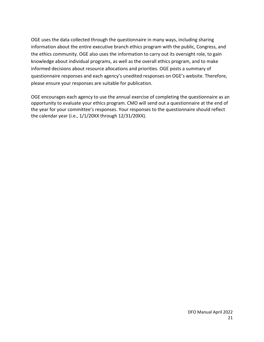OGE uses the data collected through the questionnaire in many ways, including sharing information about the entire executive branch ethics program with the public, Congress, and the ethics community. OGE also uses the information to carry out its oversight role, to gain knowledge about individual programs, as well as the overall ethics program, and to make informed decisions about resource allocations and priorities. OGE posts a summary of questionnaire responses and each agency's unedited responses on OGE's website. Therefore, please ensure your responses are suitable for publication.

OGE encourages each agency to use the annual exercise of completing the questionnaire as an opportunity to evaluate your ethics program. CMO will send out a questionnaire at the end of the year for your committee's responses. Your responses to the questionnaire should reflect the calendar year (i.e., 1/1/20XX through 12/31/20XX).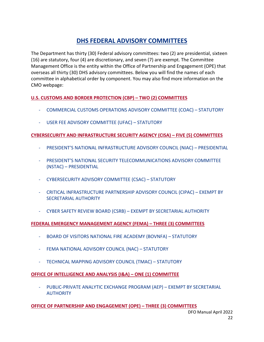# **DHS FEDERAL ADVISORY COMMITTEES**

The Department has thirty (30) Federal advisory committees: two (2) are presidential, sixteen (16) are statutory, four (4) are discretionary, and seven (7) are exempt. The Committee Management Office is the entity within the Office of Partnership and Engagement (OPE) that overseas all thirty (30) DHS advisory committees. Below you will find the names of each committee in alphabetical order by component. You may also find more information on the CMO webpage:

## **U.S. CUSTOMS AND BORDER PROTECTION (CBP) – TWO (2) COMMITTEES**

- COMMERCIAL CUSTOMS OPERATIONS ADVISORY COMMITTEE (COAC) STATUTORY
- USER FEE ADVISORY COMMITTEE (UFAC) STATUTORY

## **CYBERSECURITY AND INFRASTRUCTURE SECURITY AGENCY (CISA) – FIVE (5) COMMITTEES**

- PRESIDENT'S NATIONAL INFRASTRUCTURE ADVISORY COUNCIL (NIAC) PRESIDENTIAL
- PRESIDENT'S NATIONAL SECURITY TELECOMMUNICATIONS ADVISORY COMMITTEE (NSTAC) – PRESIDENTIAL
- CYBERSECURITY ADVISORY COMMITTEE (CSAC) STATUTORY
- CRITICAL INFRASTRUCTURE PARTNERSHIP ADVISORY COUNCIL (CIPAC) EXEMPT BY SECRETARIAL AUTHORITY
- CYBER SAFETY REVIEW BOARD (CSRB) EXEMPT BY SECRETARIAL AUTHORITY

## **FEDERAL EMERGENCY MANAGEMENT AGENCY (FEMA) – THREE (3) COMMITTEES**

- BOARD OF VISITORS NATIONAL FIRE ACADEMY (BOVNFA) STATUTORY
- FEMA NATIONAL ADVISORY COUNCIL (NAC) STATUTORY
- TECHNICAL MAPPING ADVISORY COUNCIL (TMAC) STATUTORY

## **OFFICE OF INTELLIGENCE AND ANALYSIS (I&A) – ONE (1) COMMITTEE**

- PUBLIC-PRIVATE ANALYTIC EXCHANGE PROGRAM (AEP) – EXEMPT BY SECRETARIAL AUTHORITY

#### **OFFICE OF PARTNERSHIP AND ENGAGEMENT (OPE) – THREE (3) COMMITTEES**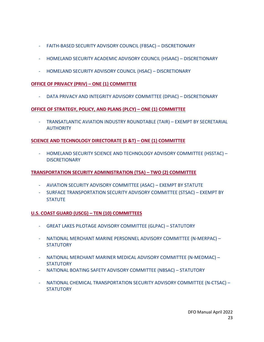- FAITH-BASED SECURITY ADVISORY COUNCIL (FBSAC) DISCRETIONARY
- HOMELAND SECURITY ACADEMIC ADVISORY COUNCIL (HSAAC) DISCRETIONARY
- HOMELAND SECURITY ADVISORY COUNCIL (HSAC) DISCRETIONARY

#### **OFFICE OF PRIVACY (PRIV) – ONE (1) COMMITTEE**

- DATA PRIVACY AND INTEGRITY ADVISORY COMMITTEE (DPIAC) – DISCRETIONARY

#### **OFFICE OF STRATEGY, POLICY, AND PLANS (PLCY) – ONE (1) COMMITTEE**

- TRANSATLANTIC AVIATION INDUSTRY ROUNDTABLE (TAIR) – EXEMPT BY SECRETARIAL **AUTHORITY** 

### **SCIENCE AND TECHNOLOGY DIRECTORATE (S &T) – ONE (1) COMMITTEE**

- HOMELAND SECURITY SCIENCE AND TECHNOLOGY ADVISORY COMMITTEE (HSSTAC) – **DISCRETIONARY** 

#### **TRANSPORTATION SECURITY ADMINISTRATION (TSA) – TWO (2) COMMITTEE**

- AVIATION SECURITY ADVISORY COMMITTEE (ASAC) EXEMPT BY STATUTE
- SURFACE TRANSPORTATION SECURITY ADVISORY COMMITTEE (STSAC) EXEMPT BY **STATUTE**

#### **U.S. COAST GUARD (USCG) – TEN (10) COMMITTEES**

- GREAT LAKES PILOTAGE ADVISORY COMMITTEE (GLPAC) STATUTORY
- NATIONAL MERCHANT MARINE PERSONNEL ADVISORY COMMITTEE (N-MERPAC) **STATUTORY**
- NATIONAL MERCHANT MARINER MEDICAL ADVISORY COMMITTEE (N-MEDMAC) **STATUTORY**
- NATIONAL BOATING SAFETY ADVISORY COMMITTEE (NBSAC) STATUTORY
- NATIONAL CHEMICAL TRANSPORTATION SECURITY ADVISORY COMMITTEE (N-CTSAC) **STATUTORY**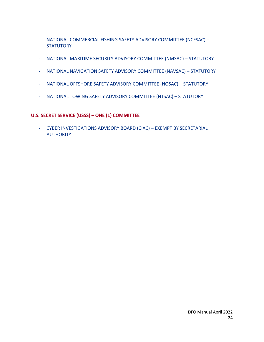- NATIONAL COMMERCIAL FISHING SAFETY ADVISORY COMMITTEE (NCFSAC) **STATUTORY**
- NATIONAL MARITIME SECURITY ADVISORY COMMITTEE (NMSAC) STATUTORY
- NATIONAL NAVIGATION SAFETY ADVISORY COMMITTEE (NAVSAC) STATUTORY
- NATIONAL OFFSHORE SAFETY ADVISORY COMMITTEE (NOSAC) STATUTORY
- NATIONAL TOWING SAFETY ADVISORY COMMITTEE (NTSAC) STATUTORY

# **U.S. SECRET SERVICE (USSS) – ONE (1) COMMITTEE**

- CYBER INVESTIGATIONS ADVISORY BOARD (CIAC) – EXEMPT BY SECRETARIAL AUTHORITY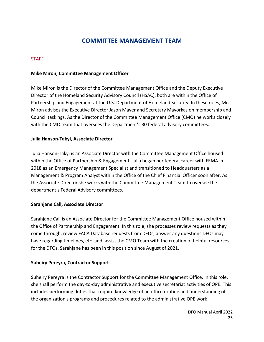# **COMMITTEE MANAGEMENT TEAM**

#### STAFF

#### **Mike Miron, Committee Management Officer**

Mike Miron is the Director of the Committee Management Office and the Deputy Executive Director of the Homeland Security Advisory Council (HSAC), both are within the Office of Partnership and Engagement at the U.S. Department of Homeland Security. In these roles, Mr. Miron advises the Executive Director Jason Mayer and Secretary Mayorkas on membership and Council taskings. As the Director of the Committee Management Office (CMO) he works closely with the CMO team that oversees the Department's 30 federal advisory committees.

#### **Julia Hanson-Takyi, Associate Director**

Julia Hanson-Takyi is an Associate Director with the Committee Management Office housed within the Office of Partnership & Engagement. Julia began her federal career with FEMA in 2018 as an Emergency Management Specialist and transitioned to Headquarters as a Management & Program Analyst within the Office of the Chief Financial Officer soon after. As the Associate Director she works with the Committee Management Team to oversee the department's Federal Advisory committees.

#### **Sarahjane Call, Associate Director**

Sarahjane Call is an Associate Director for the Committee Management Office housed within the Office of Partnership and Engagement. In this role, she processes review requests as they come through, review FACA Database requests from DFOs, answer any questions DFOs may have regarding timelines, etc. and, assist the CMO Team with the creation of helpful resources for the DFOs. Sarahjane has been in this position since August of 2021.

#### **Suheiry Pereyra, Contractor Support**

Suheiry Pereyra is the Contractor Support for the Committee Management Office. In this role, she shall perform the day-to-day administrative and executive secretariat activities of OPE. This includes performing duties that require knowledge of an office routine and understanding of the organization's programs and procedures related to the administrative OPE work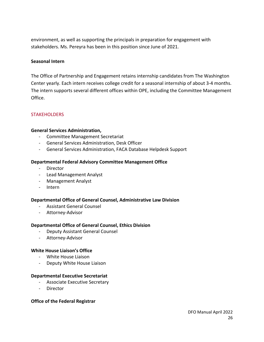environment, as well as supporting the principals in preparation for engagement with stakeholders. Ms. Pereyra has been in this position since June of 2021.

#### **Seasonal Intern**

The Office of Partnership and Engagement retains internship candidates from The Washington Center yearly. Each intern receives college credit for a seasonal internship of about 3-4 months. The intern supports several different offices within OPE, including the Committee Management Office.

#### **STAKEHOLDERS**

#### **General Services Administration,**

- Committee Management Secretariat
- General Services Administration, Desk Officer
- General Services Administration, FACA Database Helpdesk Support

#### **Departmental Federal Advisory Committee Management Office**

- Director
- Lead Management Analyst
- Management Analyst
- Intern

#### **Departmental Office of General Counsel, Administrative Law Division**

- Assistant General Counsel
- Attorney-Advisor

#### **Departmental Office of General Counsel, Ethics Division**

- Deputy Assistant General Counsel
- Attorney-Advisor

#### **White House Liaison's Office**

- White House Liaison
- Deputy White House Liaison

#### **Departmental Executive Secretariat**

- Associate Executive Secretary
- Director

#### **Office of the Federal Registrar**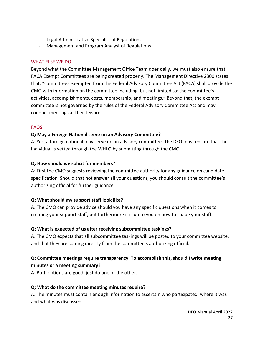- Legal Administrative Specialist of Regulations
- Management and Program Analyst of Regulations

#### WHAT ELSE WE DO

Beyond what the Committee Management Office Team does daily, we must also ensure that FACA Exempt Committees are being created properly. The Management Directive 2300 states that, "committees exempted from the Federal Advisory Committee Act (FACA) shall provide the CMO with information on the committee including, but not limited to: the committee's activities, accomplishments, costs, membership, and meetings." Beyond that, the exempt committee is not governed by the rules of the Federal Advisory Committee Act and may conduct meetings at their leisure.

#### FAQS

### **Q: May a Foreign National serve on an Advisory Committee?**

A: Yes, a foreign national may serve on an advisory committee. The DFO must ensure that the individual is vetted through the WHLO by submitting through the CMO.

#### **Q: How should we solicit for members?**

A: First the CMO suggests reviewing the committee authority for any guidance on candidate specification. Should that not answer all your questions, you should consult the committee's authorizing official for further guidance.

#### **Q: What should my support staff look like?**

A: The CMO can provide advice should you have any specific questions when it comes to creating your support staff, but furthermore it is up to you on how to shape your staff.

## **Q: What is expected of us after receiving subcommittee taskings?**

A: The CMO expects that all subcommittee taskings will be posted to your committee website, and that they are coming directly from the committee's authorizing official.

# **Q: Committee meetings require transparency. To accomplish this, should I write meeting minutes or a meeting summary?**

A: Both options are good, just do one or the other.

## **Q: What do the committee meeting minutes require?**

A: The minutes must contain enough information to ascertain who participated, where it was and what was discussed.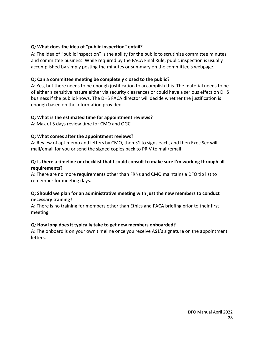#### **Q: What does the idea of "public inspection" entail?**

A: The idea of "public inspection" is the ability for the public to scrutinize committee minutes and committee business. While required by the FACA Final Rule, public inspection is usually accomplished by simply posting the minutes or summary on the committee's webpage.

## **Q: Can a committee meeting be completely closed to the public?**

A: Yes, but there needs to be enough justification to accomplish this. The material needs to be of either a sensitive nature either via security clearances or could have a serious effect on DHS business if the public knows. The DHS FACA director will decide whether the justification is enough based on the information provided.

### **Q: What is the estimated time for appointment reviews?**

A: Max of 5 days review time for CMO and OGC

### **Q: What comes after the appointment reviews?**

A: Review of apt memo and letters by CMO, then S1 to signs each, and then Exec Sec will mail/email for you or send the signed copies back to PRIV to mail/email

### **Q: Is there a timeline or checklist that I could consult to make sure I'm working through all requirements?**

A: There are no more requirements other than FRNs and CMO maintains a DFO tip list to remember for meeting days.

### **Q: Should we plan for an administrative meeting with just the new members to conduct necessary training?**

A: There is no training for members other than Ethics and FACA briefing prior to their first meeting.

#### **Q: How long does it typically take to get new members onboarded?**

A: The onboard is on your own timeline once you receive AS1's signature on the appointment letters.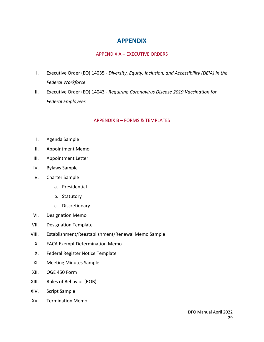# **APPENDIX**

#### APPENDIX A – EXECUTIVE ORDERS

- I. Executive Order (EO) 14035 *[Diversity, Equity, Inclusion, and Accessibility \(DEIA\) in the](https://www.dhs.gov/publication/appendix-a-executive-orders) Federal Workforce*
- II. Executive Order (EO) 14043 *Requiring Coronavirus Disease 2019 Vaccination for Federal Employees*

#### APPENDIX B – FORMS & TEMPLATES

- I. Agenda Sample
- II. Appointment Memo
- III. Appointment Letter
- IV. Bylaws Sample
- V. Charter Sample
	- a. Presidential
	- b. Statutory
	- c. Discretionary
- VI. Designation Memo
- VII. Designation Template
- VIII. [Establishment/Reestablishment/Renewal Memo Sample](https://www.dhs.gov/publication/appendix-b-forms-and-templates)
- IX. FACA Exempt Determination Memo
- X. Federal Register Notice Template
- XI. Meeting Minutes Sample
- XII. OGE 450 Form
- XIII. Rules of Behavior (ROB)
- XIV. Script Sample
- XV. Termination Memo